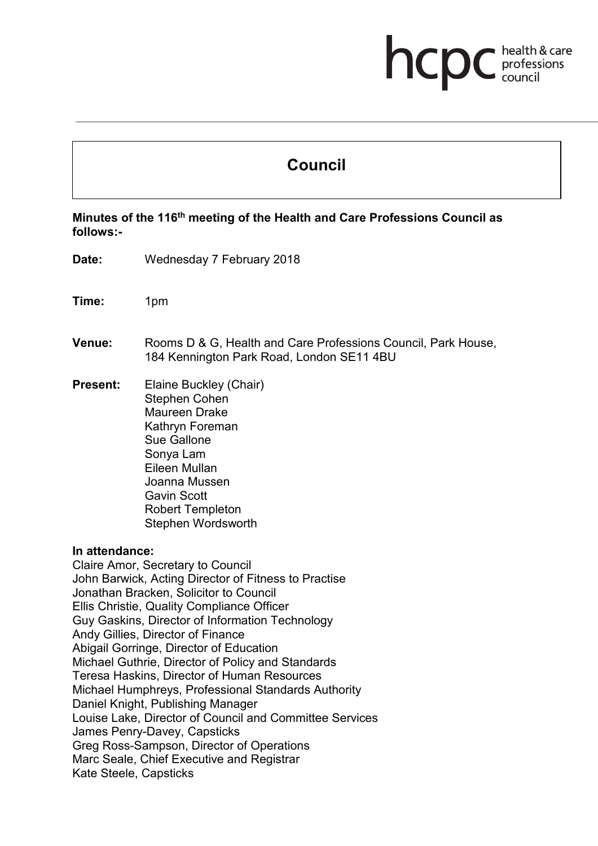# hcp health & care professions<br>council

# **Council**

**Minutes of the 116th meeting of the Health and Care Professions Council as follows:-**

- **Date:** Wednesday 7 February 2018
- **Time:** 1pm
- **Venue:** Rooms D & G, Health and Care Professions Council, Park House, 184 Kennington Park Road, London SE11 4BU
- **Present:** Elaine Buckley (Chair) Stephen Cohen Maureen Drake Kathryn Foreman Sue Gallone Sonya Lam Eileen Mullan Joanna Mussen Gavin Scott Robert Templeton Stephen Wordsworth

#### **In attendance:**

Claire Amor, Secretary to Council John Barwick, Acting Director of Fitness to Practise Jonathan Bracken, Solicitor to Council Ellis Christie, Quality Compliance Officer Guy Gaskins, Director of Information Technology Andy Gillies, Director of Finance Abigail Gorringe, Director of Education Michael Guthrie, Director of Policy and Standards Teresa Haskins, Director of Human Resources Michael Humphreys, Professional Standards Authority Daniel Knight, Publishing Manager Louise Lake, Director of Council and Committee Services James Penry-Davey, Capsticks Greg Ross-Sampson, Director of Operations Marc Seale, Chief Executive and Registrar Kate Steele, Capsticks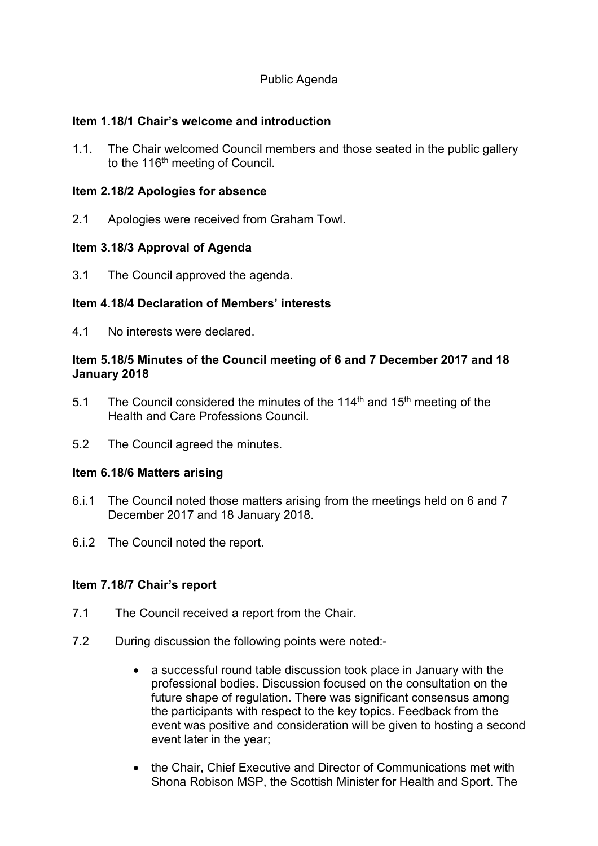# Public Agenda

#### **Item 1.18/1 Chair's welcome and introduction**

1.1. The Chair welcomed Council members and those seated in the public gallery to the 116<sup>th</sup> meeting of Council.

#### **Item 2.18/2 Apologies for absence**

2.1 Apologies were received from Graham Towl.

### **Item 3.18/3 Approval of Agenda**

3.1 The Council approved the agenda.

# **Item 4.18/4 Declaration of Members' interests**

4.1 No interests were declared.

#### **Item 5.18/5 Minutes of the Council meeting of 6 and 7 December 2017 and 18 January 2018**

- 5.1 The Council considered the minutes of the 114<sup>th</sup> and 15<sup>th</sup> meeting of the Health and Care Professions Council.
- 5.2 The Council agreed the minutes.

#### **Item 6.18/6 Matters arising**

- 6.i.1 The Council noted those matters arising from the meetings held on 6 and 7 December 2017 and 18 January 2018.
- 6.i.2 The Council noted the report.

#### **Item 7.18/7 Chair's report**

- 7.1 The Council received a report from the Chair.
- 7.2 During discussion the following points were noted:-
	- a successful round table discussion took place in January with the professional bodies. Discussion focused on the consultation on the future shape of regulation. There was significant consensus among the participants with respect to the key topics. Feedback from the event was positive and consideration will be given to hosting a second event later in the year;
	- the Chair, Chief Executive and Director of Communications met with Shona Robison MSP, the Scottish Minister for Health and Sport. The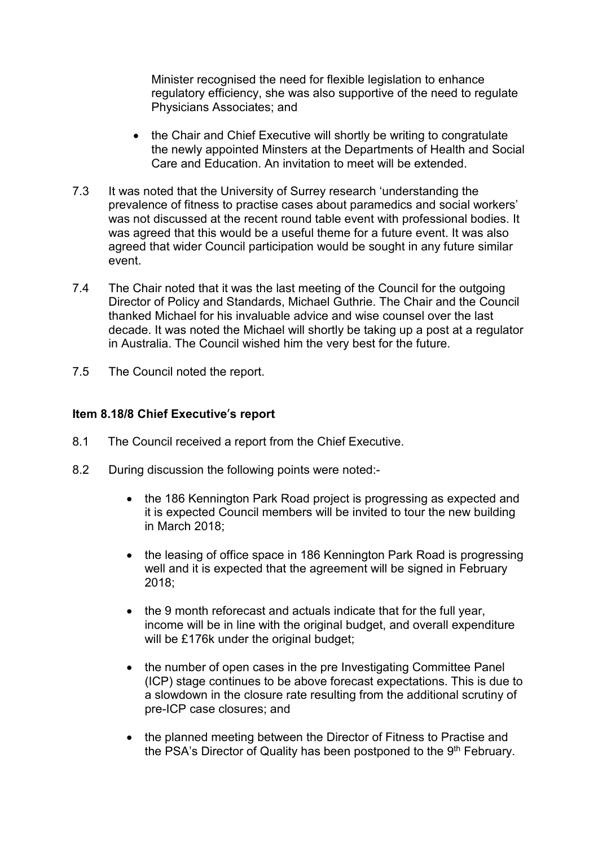Minister recognised the need for flexible legislation to enhance regulatory efficiency, she was also supportive of the need to regulate Physicians Associates; and

- the Chair and Chief Executive will shortly be writing to congratulate the newly appointed Minsters at the Departments of Health and Social Care and Education. An invitation to meet will be extended.
- 7.3 It was noted that the University of Surrey research 'understanding the prevalence of fitness to practise cases about paramedics and social workers' was not discussed at the recent round table event with professional bodies. It was agreed that this would be a useful theme for a future event. It was also agreed that wider Council participation would be sought in any future similar event.
- 7.4 The Chair noted that it was the last meeting of the Council for the outgoing Director of Policy and Standards, Michael Guthrie. The Chair and the Council thanked Michael for his invaluable advice and wise counsel over the last decade. It was noted the Michael will shortly be taking up a post at a regulator in Australia. The Council wished him the very best for the future.
- 7.5 The Council noted the report.

#### **Item 8.18/8 Chief Executive**'**s report**

- 8.1 The Council received a report from the Chief Executive.
- 8.2 During discussion the following points were noted:-
	- the 186 Kennington Park Road project is progressing as expected and it is expected Council members will be invited to tour the new building in March 2018;
	- the leasing of office space in 186 Kennington Park Road is progressing well and it is expected that the agreement will be signed in February 2018;
	- the 9 month reforecast and actuals indicate that for the full year, income will be in line with the original budget, and overall expenditure will be £176k under the original budget;
	- the number of open cases in the pre Investigating Committee Panel (ICP) stage continues to be above forecast expectations. This is due to a slowdown in the closure rate resulting from the additional scrutiny of pre-ICP case closures; and
	- the planned meeting between the Director of Fitness to Practise and the PSA's Director of Quality has been postponed to the 9<sup>th</sup> February.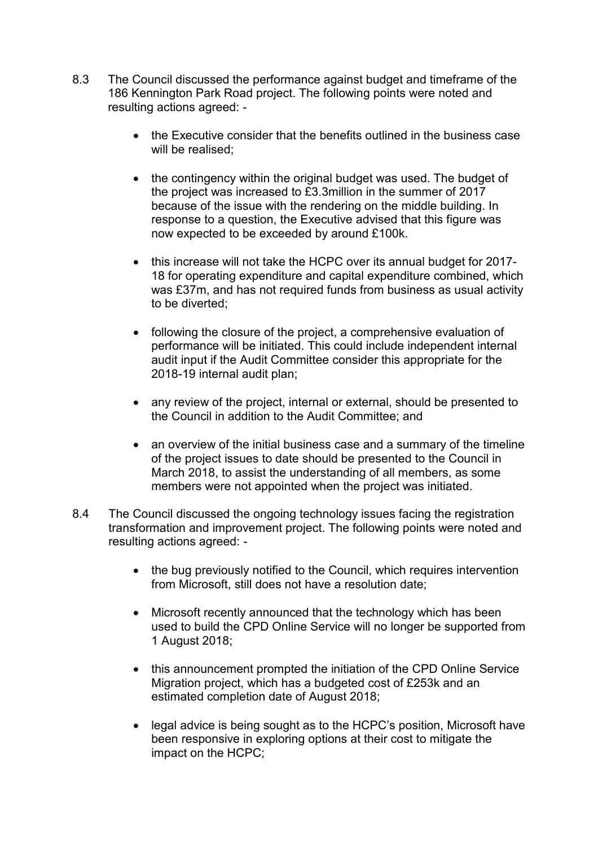- 8.3 The Council discussed the performance against budget and timeframe of the 186 Kennington Park Road project. The following points were noted and resulting actions agreed: -
	- the Executive consider that the benefits outlined in the business case will be realised:
	- the contingency within the original budget was used. The budget of the project was increased to £3.3million in the summer of 2017 because of the issue with the rendering on the middle building. In response to a question, the Executive advised that this figure was now expected to be exceeded by around £100k.
	- this increase will not take the HCPC over its annual budget for 2017- 18 for operating expenditure and capital expenditure combined, which was £37m, and has not required funds from business as usual activity to be diverted;
	- following the closure of the project, a comprehensive evaluation of performance will be initiated. This could include independent internal audit input if the Audit Committee consider this appropriate for the 2018-19 internal audit plan;
	- any review of the project, internal or external, should be presented to the Council in addition to the Audit Committee; and
	- an overview of the initial business case and a summary of the timeline of the project issues to date should be presented to the Council in March 2018, to assist the understanding of all members, as some members were not appointed when the project was initiated.
- 8.4 The Council discussed the ongoing technology issues facing the registration transformation and improvement project. The following points were noted and resulting actions agreed: -
	- the bug previously notified to the Council, which requires intervention from Microsoft, still does not have a resolution date;
	- Microsoft recently announced that the technology which has been used to build the CPD Online Service will no longer be supported from 1 August 2018;
	- this announcement prompted the initiation of the CPD Online Service Migration project, which has a budgeted cost of £253k and an estimated completion date of August 2018;
	- legal advice is being sought as to the HCPC's position, Microsoft have been responsive in exploring options at their cost to mitigate the impact on the HCPC;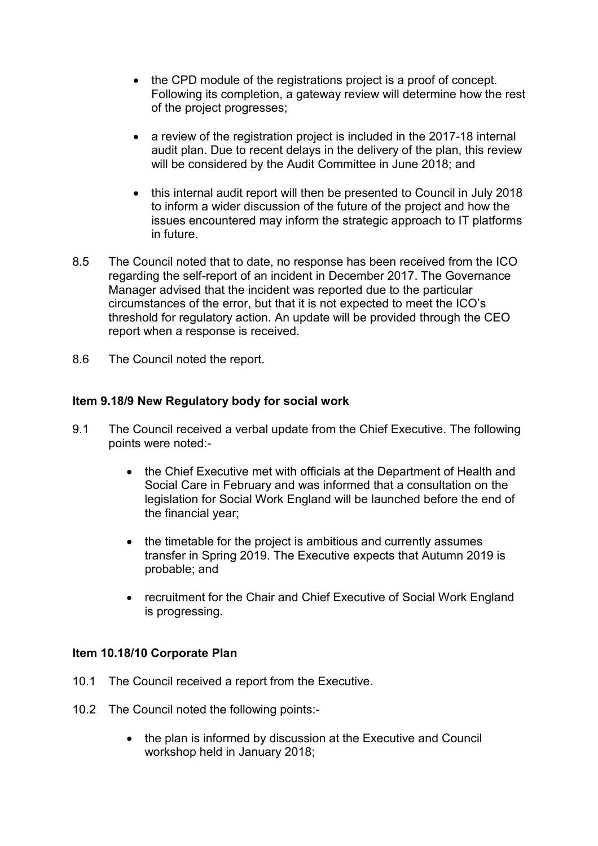- the CPD module of the registrations project is a proof of concept. Following its completion, a gateway review will determine how the rest of the project progresses;
- a review of the registration project is included in the 2017-18 internal audit plan. Due to recent delays in the delivery of the plan, this review will be considered by the Audit Committee in June 2018; and
- this internal audit report will then be presented to Council in July 2018 to inform a wider discussion of the future of the project and how the issues encountered may inform the strategic approach to IT platforms in future.
- 8.5 The Council noted that to date, no response has been received from the ICO regarding the self-report of an incident in December 2017. The Governance Manager advised that the incident was reported due to the particular circumstances of the error, but that it is not expected to meet the ICO's threshold for regulatory action. An update will be provided through the CEO report when a response is received.
- 8.6 The Council noted the report.

# **Item 9.18/9 New Regulatory body for social work**

- 9.1 The Council received a verbal update from the Chief Executive. The following points were noted:-
	- the Chief Executive met with officials at the Department of Health and Social Care in February and was informed that a consultation on the legislation for Social Work England will be launched before the end of the financial year;
	- the timetable for the project is ambitious and currently assumes transfer in Spring 2019. The Executive expects that Autumn 2019 is probable; and
	- recruitment for the Chair and Chief Executive of Social Work England is progressing.

#### **Item 10.18/10 Corporate Plan**

- 10.1 The Council received a report from the Executive.
- 10.2 The Council noted the following points:-
	- the plan is informed by discussion at the Executive and Council workshop held in January 2018;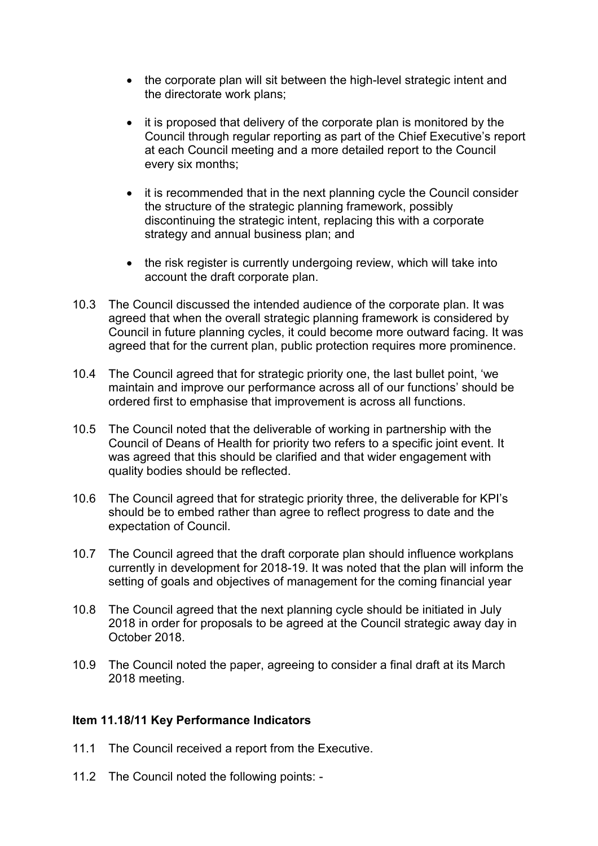- the corporate plan will sit between the high-level strategic intent and the directorate work plans;
- it is proposed that delivery of the corporate plan is monitored by the Council through regular reporting as part of the Chief Executive's report at each Council meeting and a more detailed report to the Council every six months;
- it is recommended that in the next planning cycle the Council consider the structure of the strategic planning framework, possibly discontinuing the strategic intent, replacing this with a corporate strategy and annual business plan; and
- the risk register is currently undergoing review, which will take into account the draft corporate plan.
- 10.3 The Council discussed the intended audience of the corporate plan. It was agreed that when the overall strategic planning framework is considered by Council in future planning cycles, it could become more outward facing. It was agreed that for the current plan, public protection requires more prominence.
- 10.4 The Council agreed that for strategic priority one, the last bullet point, 'we maintain and improve our performance across all of our functions' should be ordered first to emphasise that improvement is across all functions.
- 10.5 The Council noted that the deliverable of working in partnership with the Council of Deans of Health for priority two refers to a specific joint event. It was agreed that this should be clarified and that wider engagement with quality bodies should be reflected.
- 10.6 The Council agreed that for strategic priority three, the deliverable for KPI's should be to embed rather than agree to reflect progress to date and the expectation of Council.
- 10.7 The Council agreed that the draft corporate plan should influence workplans currently in development for 2018-19. It was noted that the plan will inform the setting of goals and objectives of management for the coming financial year
- 10.8 The Council agreed that the next planning cycle should be initiated in July 2018 in order for proposals to be agreed at the Council strategic away day in October 2018.
- 10.9 The Council noted the paper, agreeing to consider a final draft at its March 2018 meeting.

#### **Item 11.18/11 Key Performance Indicators**

- 11.1 The Council received a report from the Executive.
- 11.2 The Council noted the following points: -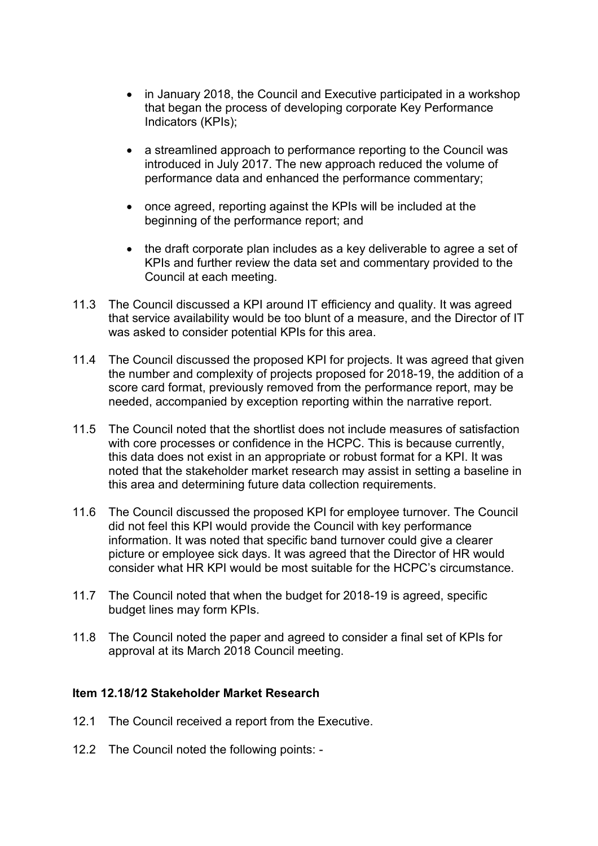- in January 2018, the Council and Executive participated in a workshop that began the process of developing corporate Key Performance Indicators (KPIs);
- a streamlined approach to performance reporting to the Council was introduced in July 2017. The new approach reduced the volume of performance data and enhanced the performance commentary;
- once agreed, reporting against the KPIs will be included at the beginning of the performance report; and
- the draft corporate plan includes as a key deliverable to agree a set of KPIs and further review the data set and commentary provided to the Council at each meeting.
- 11.3 The Council discussed a KPI around IT efficiency and quality. It was agreed that service availability would be too blunt of a measure, and the Director of IT was asked to consider potential KPIs for this area.
- 11.4 The Council discussed the proposed KPI for projects. It was agreed that given the number and complexity of projects proposed for 2018-19, the addition of a score card format, previously removed from the performance report, may be needed, accompanied by exception reporting within the narrative report.
- 11.5 The Council noted that the shortlist does not include measures of satisfaction with core processes or confidence in the HCPC. This is because currently, this data does not exist in an appropriate or robust format for a KPI. It was noted that the stakeholder market research may assist in setting a baseline in this area and determining future data collection requirements.
- 11.6 The Council discussed the proposed KPI for employee turnover. The Council did not feel this KPI would provide the Council with key performance information. It was noted that specific band turnover could give a clearer picture or employee sick days. It was agreed that the Director of HR would consider what HR KPI would be most suitable for the HCPC's circumstance.
- 11.7 The Council noted that when the budget for 2018-19 is agreed, specific budget lines may form KPIs.
- 11.8 The Council noted the paper and agreed to consider a final set of KPIs for approval at its March 2018 Council meeting.

#### **Item 12.18/12 Stakeholder Market Research**

- 12.1 The Council received a report from the Executive.
- 12.2 The Council noted the following points: -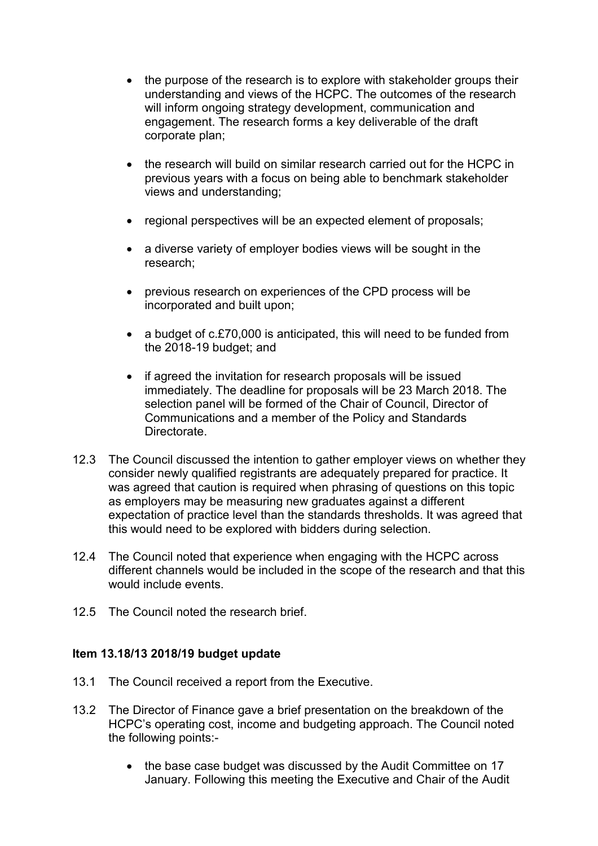- the purpose of the research is to explore with stakeholder groups their understanding and views of the HCPC. The outcomes of the research will inform ongoing strategy development, communication and engagement. The research forms a key deliverable of the draft corporate plan;
- the research will build on similar research carried out for the HCPC in previous years with a focus on being able to benchmark stakeholder views and understanding;
- regional perspectives will be an expected element of proposals;
- a diverse variety of employer bodies views will be sought in the research;
- previous research on experiences of the CPD process will be incorporated and built upon;
- a budget of c.£70,000 is anticipated, this will need to be funded from the 2018-19 budget; and
- if agreed the invitation for research proposals will be issued immediately. The deadline for proposals will be 23 March 2018. The selection panel will be formed of the Chair of Council, Director of Communications and a member of the Policy and Standards Directorate.
- 12.3 The Council discussed the intention to gather employer views on whether they consider newly qualified registrants are adequately prepared for practice. It was agreed that caution is required when phrasing of questions on this topic as employers may be measuring new graduates against a different expectation of practice level than the standards thresholds. It was agreed that this would need to be explored with bidders during selection.
- 12.4 The Council noted that experience when engaging with the HCPC across different channels would be included in the scope of the research and that this would include events.
- 12.5 The Council noted the research brief.

#### **Item 13.18/13 2018/19 budget update**

- 13.1 The Council received a report from the Executive.
- 13.2 The Director of Finance gave a brief presentation on the breakdown of the HCPC's operating cost, income and budgeting approach. The Council noted the following points:-
	- the base case budget was discussed by the Audit Committee on 17 January. Following this meeting the Executive and Chair of the Audit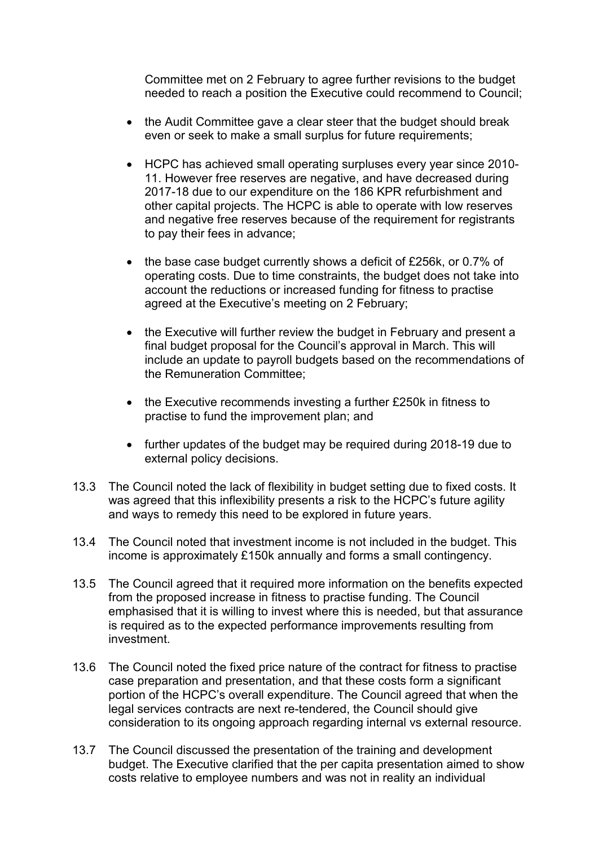Committee met on 2 February to agree further revisions to the budget needed to reach a position the Executive could recommend to Council;

- the Audit Committee gave a clear steer that the budget should break even or seek to make a small surplus for future requirements;
- HCPC has achieved small operating surpluses every year since 2010- 11. However free reserves are negative, and have decreased during 2017-18 due to our expenditure on the 186 KPR refurbishment and other capital projects. The HCPC is able to operate with low reserves and negative free reserves because of the requirement for registrants to pay their fees in advance;
- the base case budget currently shows a deficit of £256k, or 0.7% of operating costs. Due to time constraints, the budget does not take into account the reductions or increased funding for fitness to practise agreed at the Executive's meeting on 2 February;
- the Executive will further review the budget in February and present a final budget proposal for the Council's approval in March. This will include an update to payroll budgets based on the recommendations of the Remuneration Committee;
- the Executive recommends investing a further £250k in fitness to practise to fund the improvement plan; and
- further updates of the budget may be required during 2018-19 due to external policy decisions.
- 13.3 The Council noted the lack of flexibility in budget setting due to fixed costs. It was agreed that this inflexibility presents a risk to the HCPC's future agility and ways to remedy this need to be explored in future years.
- 13.4 The Council noted that investment income is not included in the budget. This income is approximately £150k annually and forms a small contingency.
- 13.5 The Council agreed that it required more information on the benefits expected from the proposed increase in fitness to practise funding. The Council emphasised that it is willing to invest where this is needed, but that assurance is required as to the expected performance improvements resulting from investment.
- 13.6 The Council noted the fixed price nature of the contract for fitness to practise case preparation and presentation, and that these costs form a significant portion of the HCPC's overall expenditure. The Council agreed that when the legal services contracts are next re-tendered, the Council should give consideration to its ongoing approach regarding internal vs external resource.
- 13.7 The Council discussed the presentation of the training and development budget. The Executive clarified that the per capita presentation aimed to show costs relative to employee numbers and was not in reality an individual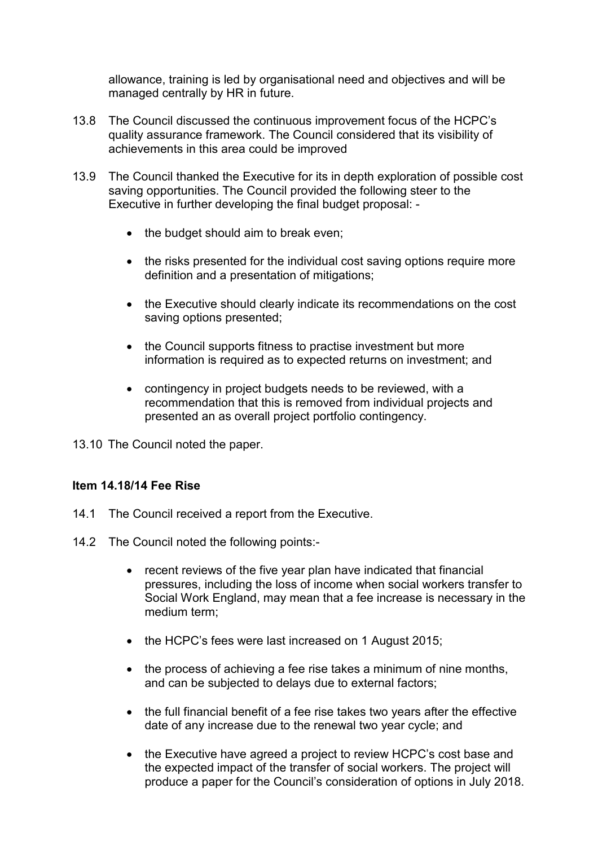allowance, training is led by organisational need and objectives and will be managed centrally by HR in future.

- 13.8 The Council discussed the continuous improvement focus of the HCPC's quality assurance framework. The Council considered that its visibility of achievements in this area could be improved
- 13.9 The Council thanked the Executive for its in depth exploration of possible cost saving opportunities. The Council provided the following steer to the Executive in further developing the final budget proposal: -
	- the budget should aim to break even;
	- the risks presented for the individual cost saving options require more definition and a presentation of mitigations;
	- the Executive should clearly indicate its recommendations on the cost saving options presented;
	- the Council supports fitness to practise investment but more information is required as to expected returns on investment; and
	- contingency in project budgets needs to be reviewed, with a recommendation that this is removed from individual projects and presented an as overall project portfolio contingency.

13.10 The Council noted the paper.

#### **Item 14.18/14 Fee Rise**

- 14.1 The Council received a report from the Executive.
- 14.2 The Council noted the following points:-
	- recent reviews of the five year plan have indicated that financial pressures, including the loss of income when social workers transfer to Social Work England, may mean that a fee increase is necessary in the medium term;
	- the HCPC's fees were last increased on 1 August 2015;
	- the process of achieving a fee rise takes a minimum of nine months, and can be subjected to delays due to external factors;
	- the full financial benefit of a fee rise takes two years after the effective date of any increase due to the renewal two year cycle; and
	- the Executive have agreed a project to review HCPC's cost base and the expected impact of the transfer of social workers. The project will produce a paper for the Council's consideration of options in July 2018.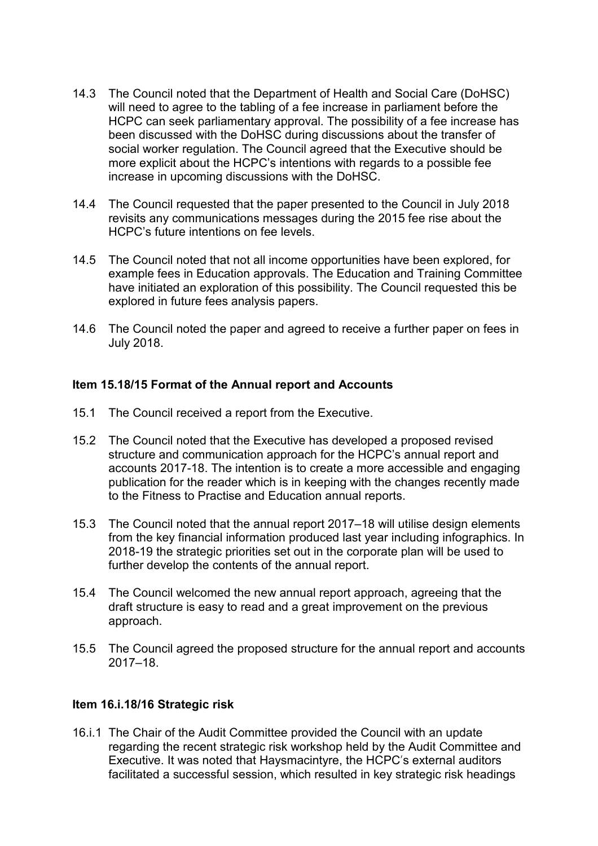- 14.3 The Council noted that the Department of Health and Social Care (DoHSC) will need to agree to the tabling of a fee increase in parliament before the HCPC can seek parliamentary approval. The possibility of a fee increase has been discussed with the DoHSC during discussions about the transfer of social worker regulation. The Council agreed that the Executive should be more explicit about the HCPC's intentions with regards to a possible fee increase in upcoming discussions with the DoHSC.
- 14.4 The Council requested that the paper presented to the Council in July 2018 revisits any communications messages during the 2015 fee rise about the HCPC's future intentions on fee levels.
- 14.5 The Council noted that not all income opportunities have been explored, for example fees in Education approvals. The Education and Training Committee have initiated an exploration of this possibility. The Council requested this be explored in future fees analysis papers.
- 14.6 The Council noted the paper and agreed to receive a further paper on fees in July 2018.

#### **Item 15.18/15 Format of the Annual report and Accounts**

- 15.1 The Council received a report from the Executive.
- 15.2 The Council noted that the Executive has developed a proposed revised structure and communication approach for the HCPC's annual report and accounts 2017-18. The intention is to create a more accessible and engaging publication for the reader which is in keeping with the changes recently made to the Fitness to Practise and Education annual reports.
- 15.3 The Council noted that the annual report 2017–18 will utilise design elements from the key financial information produced last year including infographics. In 2018-19 the strategic priorities set out in the corporate plan will be used to further develop the contents of the annual report.
- 15.4 The Council welcomed the new annual report approach, agreeing that the draft structure is easy to read and a great improvement on the previous approach.
- 15.5 The Council agreed the proposed structure for the annual report and accounts 2017–18.

#### **Item 16.i.18/16 Strategic risk**

16.i.1 The Chair of the Audit Committee provided the Council with an update regarding the recent strategic risk workshop held by the Audit Committee and Executive. It was noted that Haysmacintyre, the HCPC's external auditors facilitated a successful session, which resulted in key strategic risk headings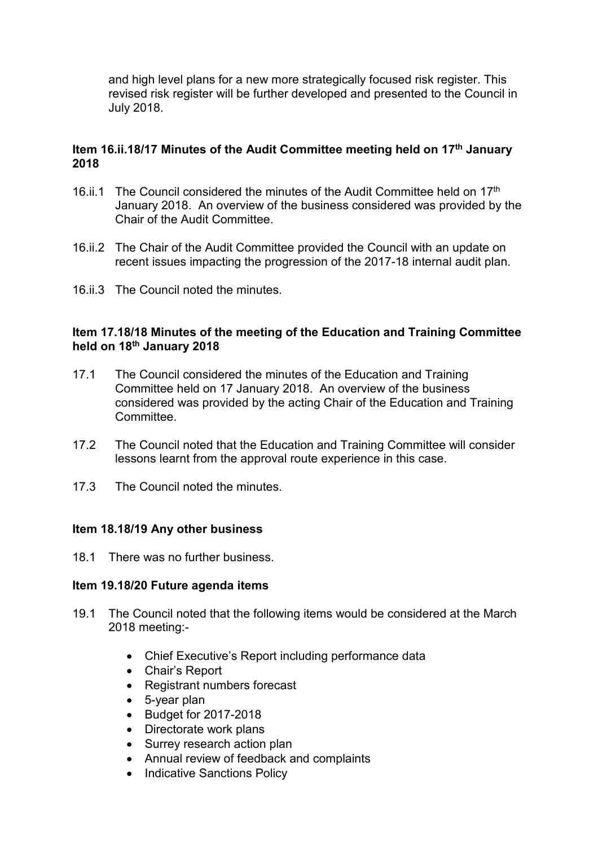and high level plans for a new more strategically focused risk register. This revised risk register will be further developed and presented to the Council in July 2018.

#### **Item 16.ii.18/17 Minutes of the Audit Committee meeting held on 17th January 2018**

- 16.ii.1 The Council considered the minutes of the Audit Committee held on  $17<sup>th</sup>$ January 2018. An overview of the business considered was provided by the Chair of the Audit Committee.
- 16.ii.2 The Chair of the Audit Committee provided the Council with an update on recent issues impacting the progression of the 2017-18 internal audit plan.
- 16.ii.3 The Council noted the minutes.

#### **Item 17.18/18 Minutes of the meeting of the Education and Training Committee held on 18th January 2018**

- 17.1 The Council considered the minutes of the Education and Training Committee held on 17 January 2018. An overview of the business considered was provided by the acting Chair of the Education and Training Committee.
- 17.2 The Council noted that the Education and Training Committee will consider lessons learnt from the approval route experience in this case.
- 17.3 The Council noted the minutes.

#### **Item 18.18/19 Any other business**

18.1 There was no further business.

#### **Item 19.18/20 Future agenda items**

- 19.1 The Council noted that the following items would be considered at the March 2018 meeting:-
	- Chief Executive's Report including performance data
	- Chair's Report
	- Registrant numbers forecast
	- 5-year plan
	- Budget for 2017-2018
	- Directorate work plans
	- Surrey research action plan
	- Annual review of feedback and complaints
	- Indicative Sanctions Policy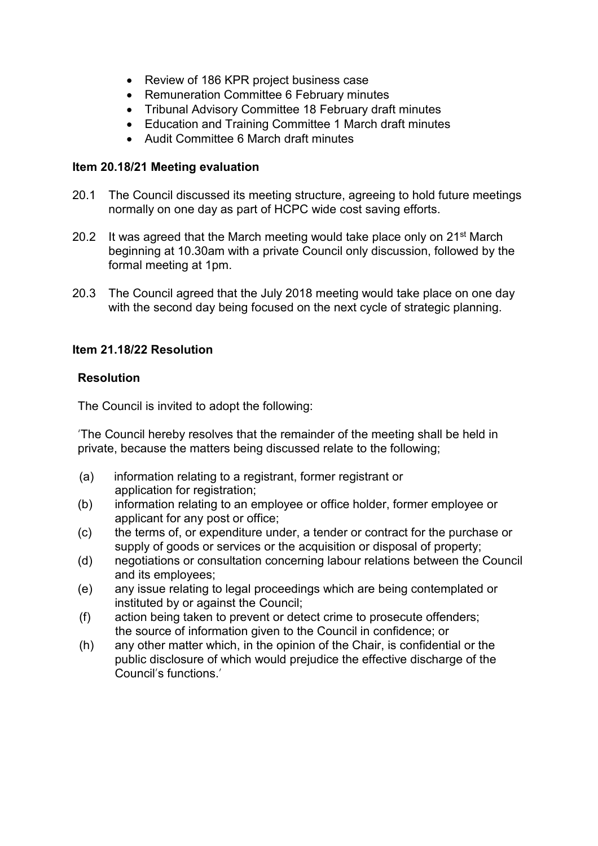- Review of 186 KPR project business case
- Remuneration Committee 6 February minutes
- Tribunal Advisory Committee 18 February draft minutes
- Education and Training Committee 1 March draft minutes
- Audit Committee 6 March draft minutes

#### **Item 20.18/21 Meeting evaluation**

- 20.1 The Council discussed its meeting structure, agreeing to hold future meetings normally on one day as part of HCPC wide cost saving efforts.
- 20.2 It was agreed that the March meeting would take place only on  $21^{st}$  March beginning at 10.30am with a private Council only discussion, followed by the formal meeting at 1pm.
- 20.3 The Council agreed that the July 2018 meeting would take place on one day with the second day being focused on the next cycle of strategic planning.

#### **Item 21.18/22 Resolution**

#### **Resolution**

The Council is invited to adopt the following:

'The Council hereby resolves that the remainder of the meeting shall be held in private, because the matters being discussed relate to the following;

- (a) information relating to a registrant, former registrant or application for registration;
- (b) information relating to an employee or office holder, former employee or applicant for any post or office;
- (c) the terms of, or expenditure under, a tender or contract for the purchase or supply of goods or services or the acquisition or disposal of property;
- (d) negotiations or consultation concerning labour relations between the Council and its employees;
- (e) any issue relating to legal proceedings which are being contemplated or instituted by or against the Council;
- (f) action being taken to prevent or detect crime to prosecute offenders; the source of information given to the Council in confidence; or
- (h) any other matter which, in the opinion of the Chair, is confidential or the public disclosure of which would prejudice the effective discharge of the Council's functions.'